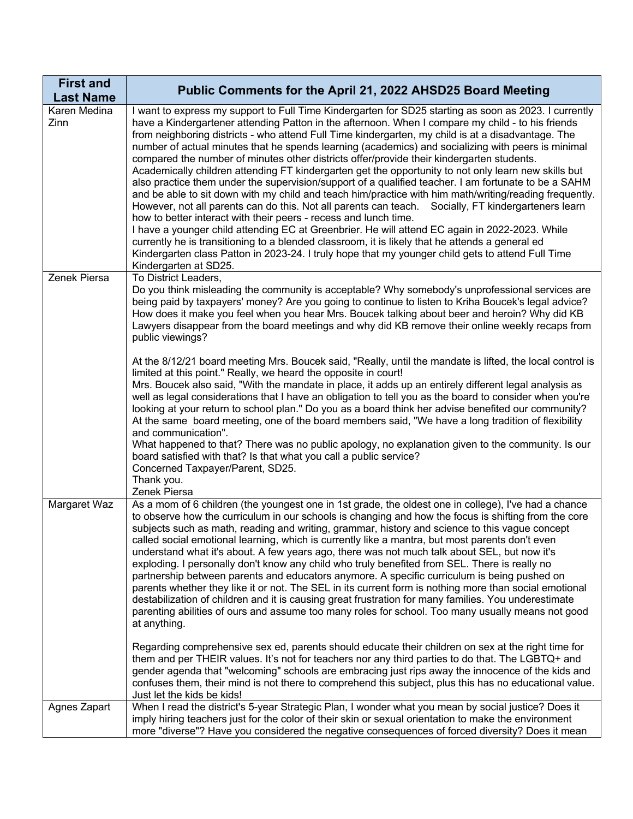| <b>First and</b><br><b>Last Name</b> | Public Comments for the April 21, 2022 AHSD25 Board Meeting                                                                                                                                                                                                                                                                                                                                                                                                                                                                                                                                                                                                                                                                                                                                                                                                                                                                                                                                                                                                                                                                                                                                                                                                                                                                                                 |
|--------------------------------------|-------------------------------------------------------------------------------------------------------------------------------------------------------------------------------------------------------------------------------------------------------------------------------------------------------------------------------------------------------------------------------------------------------------------------------------------------------------------------------------------------------------------------------------------------------------------------------------------------------------------------------------------------------------------------------------------------------------------------------------------------------------------------------------------------------------------------------------------------------------------------------------------------------------------------------------------------------------------------------------------------------------------------------------------------------------------------------------------------------------------------------------------------------------------------------------------------------------------------------------------------------------------------------------------------------------------------------------------------------------|
| Karen Medina<br>Zinn                 | I want to express my support to Full Time Kindergarten for SD25 starting as soon as 2023. I currently<br>have a Kindergartener attending Patton in the afternoon. When I compare my child - to his friends<br>from neighboring districts - who attend Full Time kindergarten, my child is at a disadvantage. The<br>number of actual minutes that he spends learning (academics) and socializing with peers is minimal<br>compared the number of minutes other districts offer/provide their kindergarten students.<br>Academically children attending FT kindergarten get the opportunity to not only learn new skills but<br>also practice them under the supervision/support of a qualified teacher. I am fortunate to be a SAHM<br>and be able to sit down with my child and teach him/practice with him math/writing/reading frequently.<br>However, not all parents can do this. Not all parents can teach. Socially, FT kindergarteners learn<br>how to better interact with their peers - recess and lunch time.<br>I have a younger child attending EC at Greenbrier. He will attend EC again in 2022-2023. While<br>currently he is transitioning to a blended classroom, it is likely that he attends a general ed<br>Kindergarten class Patton in 2023-24. I truly hope that my younger child gets to attend Full Time<br>Kindergarten at SD25. |
| Zenek Piersa                         | To District Leaders,<br>Do you think misleading the community is acceptable? Why somebody's unprofessional services are<br>being paid by taxpayers' money? Are you going to continue to listen to Kriha Boucek's legal advice?<br>How does it make you feel when you hear Mrs. Boucek talking about beer and heroin? Why did KB<br>Lawyers disappear from the board meetings and why did KB remove their online weekly recaps from<br>public viewings?<br>At the 8/12/21 board meeting Mrs. Boucek said, "Really, until the mandate is lifted, the local control is<br>limited at this point." Really, we heard the opposite in court!<br>Mrs. Boucek also said, "With the mandate in place, it adds up an entirely different legal analysis as<br>well as legal considerations that I have an obligation to tell you as the board to consider when you're<br>looking at your return to school plan." Do you as a board think her advise benefited our community?<br>At the same board meeting, one of the board members said, "We have a long tradition of flexibility<br>and communication".<br>What happened to that? There was no public apology, no explanation given to the community. Is our<br>board satisfied with that? Is that what you call a public service?                                                                                   |
|                                      | Concerned Taxpayer/Parent, SD25.<br>Thank you.<br>Zenek Piersa                                                                                                                                                                                                                                                                                                                                                                                                                                                                                                                                                                                                                                                                                                                                                                                                                                                                                                                                                                                                                                                                                                                                                                                                                                                                                              |
| Margaret Waz                         | As a mom of 6 children (the youngest one in 1st grade, the oldest one in college), I've had a chance<br>to observe how the curriculum in our schools is changing and how the focus is shifting from the core<br>subjects such as math, reading and writing, grammar, history and science to this vague concept<br>called social emotional learning, which is currently like a mantra, but most parents don't even<br>understand what it's about. A few years ago, there was not much talk about SEL, but now it's<br>exploding. I personally don't know any child who truly benefited from SEL. There is really no<br>partnership between parents and educators anymore. A specific curriculum is being pushed on<br>parents whether they like it or not. The SEL in its current form is nothing more than social emotional<br>destabilization of children and it is causing great frustration for many families. You underestimate<br>parenting abilities of ours and assume too many roles for school. Too many usually means not good<br>at anything.                                                                                                                                                                                                                                                                                                    |
|                                      | Regarding comprehensive sex ed, parents should educate their children on sex at the right time for<br>them and per THEIR values. It's not for teachers nor any third parties to do that. The LGBTQ+ and<br>gender agenda that "welcoming" schools are embracing just rips away the innocence of the kids and<br>confuses them, their mind is not there to comprehend this subject, plus this has no educational value.<br>Just let the kids be kids!                                                                                                                                                                                                                                                                                                                                                                                                                                                                                                                                                                                                                                                                                                                                                                                                                                                                                                        |
| Agnes Zapart                         | When I read the district's 5-year Strategic Plan, I wonder what you mean by social justice? Does it<br>imply hiring teachers just for the color of their skin or sexual orientation to make the environment<br>more "diverse"? Have you considered the negative consequences of forced diversity? Does it mean                                                                                                                                                                                                                                                                                                                                                                                                                                                                                                                                                                                                                                                                                                                                                                                                                                                                                                                                                                                                                                              |